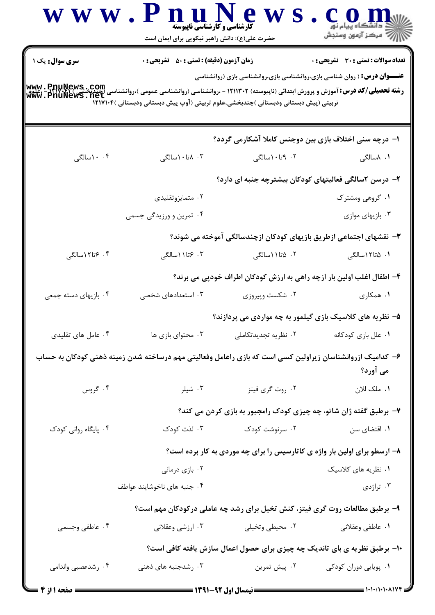|                                                                                                                                                                                             | www.PnuNews<br><b>کارشناسی و کارشناسی ناپیوسته</b><br>حضرت علی(ع): دانش راهبر نیکویی برای ایمان است |                                                                                                                                                                          | ڪ دانشڪاه پيام نور<br>  77 مرکز آزمون وسنڊش  |
|---------------------------------------------------------------------------------------------------------------------------------------------------------------------------------------------|-----------------------------------------------------------------------------------------------------|--------------------------------------------------------------------------------------------------------------------------------------------------------------------------|----------------------------------------------|
| <b>سری سوال:</b> یک ۱<br><b>رشته تحصیلی/کد درس:</b> آموزش و پرورش ابتدائی (ناپیوسته) ۱۲۱۱۳۰۲ - ،روانشناسی (روانشناسی عمومی )،روانشناسی (حندیج<br>Www . PnuNews . net<br>Www . PnuNews . net | <b>زمان آزمون (دقیقه) : تستی : 50 ٪ تشریحی : 0</b>                                                  | <b>عنـــوان درس :</b> ( روان شناسی بازی،روانشناسی بازی،روانشناسی بازی (روانشناسی<br>تربیتی (پیش دبستانی ودبستانی )چندبخشی،علوم تربیتی (آوپ پیش دبستانی ودبستانی )۱۲۱۷۱۰۴ | <b>تعداد سوالات : تستي : 30 ٪ تشريحي : 0</b> |
|                                                                                                                                                                                             |                                                                                                     | ا- درچه سنی اختلاف بازی بین دوجنس کاملا آشکارمی گردد؟                                                                                                                    |                                              |
| ۰.۴ اسالگی                                                                                                                                                                                  | ۰۳ ۸تا۱۰سالگی                                                                                       | ۰۲ ۹تا۱۰سالگی                                                                                                                                                            | ۰۱ ۸سالگی                                    |
|                                                                                                                                                                                             |                                                                                                     | ۲- درسن ۲سالگی فعالیتهای کودکان بیشترچه جنبه ای دارد؟                                                                                                                    |                                              |
|                                                                                                                                                                                             | ۰۲ متمايزوتقليدي                                                                                    |                                                                                                                                                                          | ۰۱ گروهی ومشترک                              |
|                                                                                                                                                                                             | ۰۴ تمرین و ورزیدگی جسمی                                                                             |                                                                                                                                                                          | ۰۳ بازیهای موازی                             |
|                                                                                                                                                                                             |                                                                                                     | ۳- نقشهای اجتماعی ازطریق بازیهای کودکان ازچندسالگی آموخته می شوند؟                                                                                                       |                                              |
| ۰۴ تا۱۲سالگی                                                                                                                                                                                | ۰۳ وتا ۱۱ سالگی                                                                                     | ۰۲ ۵تا ۱۱سالگی                                                                                                                                                           | ۰۱ ۵تا۱۲سالگی                                |
|                                                                                                                                                                                             |                                                                                                     | ۴- اطفال اغلب اولین بار ازچه راهی به ارزش کودکان اطراف خودپی می برند؟                                                                                                    |                                              |
| ۰۴ بازیهای دسته جمعی                                                                                                                                                                        | ۰۳ استعدادهای شخصی                                                                                  | ۰۲ شکست وپیروزی                                                                                                                                                          | ۰۱ همکاری                                    |
|                                                                                                                                                                                             |                                                                                                     | ۵– نظریه های کلاسیک بازی گیلمور به چه مواردی می پردازند؟                                                                                                                 |                                              |
| ۰۴ عامل های تقلیدی                                                                                                                                                                          | ۰۳ محتوای بازی ها                                                                                   | ۰۲ نظریه تجدیدتکاملی                                                                                                                                                     | ۰۱ علل بازی کودکانه                          |
|                                                                                                                                                                                             |                                                                                                     | ۶– کدامیک ازروانشناسان زیراولین کسی است که بازی راعامل وفعالیتی مهم درساخته شدن زمینه ذهنی کودکان به حساب                                                                | می آورد؟                                     |
| ۰۴ گروس                                                                                                                                                                                     | ۰۳ شیلر                                                                                             | ۰۲ روت گري فيتز                                                                                                                                                          | ٠١. ملک للان                                 |
|                                                                                                                                                                                             |                                                                                                     | ۷- برطبق گفته ژان شاتو، چه چیزی کودک رامجبور به بازی کردن می کند؟                                                                                                        |                                              |
| ۰۴ پایگاه روانی کودک                                                                                                                                                                        | ۰۳ لذت کودک                                                                                         | ۰۲ سرنوشت کودک                                                                                                                                                           | ۰۱ اقتضای سن                                 |
|                                                                                                                                                                                             |                                                                                                     | ۸- ارسطو برای اولین بار واژه ی کاتارسیس را برای چه موردی به کار برده است؟                                                                                                |                                              |
|                                                                                                                                                                                             | ۰۲ بازی درمانی                                                                                      |                                                                                                                                                                          | ۰۱ نظریه های کلاسیک                          |
|                                                                                                                                                                                             | ۰۴ جنبه های ناخوشایند عواطف                                                                         |                                                                                                                                                                          | ۰۳ تراژدی                                    |
|                                                                                                                                                                                             |                                                                                                     | ۹- برطبق مطالعات روت گری فیتز، کنش تخیل برای رشد چه عاملی درکودکان مهم است؟                                                                                              |                                              |
| ۰۴ عاطفي وجسمي                                                                                                                                                                              | ۰۳ ارزشي وعقلاني                                                                                    | ۰۲ محیطی وتخیلی                                                                                                                                                          | ۰۱ عاطفي وعقلاني                             |
|                                                                                                                                                                                             |                                                                                                     | 10- برطبق نظریه ی بای تاندیک چه چیزی برای حصول اعمال سازش یافته کافی است؟                                                                                                |                                              |
| ۰۴ رشدعصبی واندامی                                                                                                                                                                          | ۰۳ رشدجنبه های ذهنی                                                                                 | ۰۲ پیش تمرین                                                                                                                                                             | ۰۱ پویایی دوران کودکی                        |
| ـــــ صفحه 1 از 4                                                                                                                                                                           |                                                                                                     |                                                                                                                                                                          |                                              |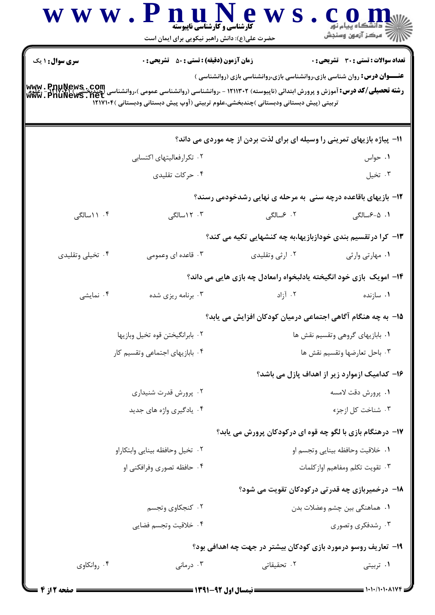|                                          | www.PnuNew<br><b>کارشناسی و کارشناسی ناپیوسته</b><br>حضرت علی(ع): دانش راهبر نیکویی برای ایمان است                                                                                                                                                                                                                                                                                  |                                                                                 | ڪ دانشڪاه پيام نور<br>¶ مرڪز آزمون وسنڊش      |
|------------------------------------------|-------------------------------------------------------------------------------------------------------------------------------------------------------------------------------------------------------------------------------------------------------------------------------------------------------------------------------------------------------------------------------------|---------------------------------------------------------------------------------|-----------------------------------------------|
| <b>سری سوال : ۱ یک</b><br>www.PnuNews.ne | <b>زمان آزمون (دقیقه) : تستی : 50 ٪ تشریحی : 0</b><br><b>رشته تحصیلی/کد درس:</b> آموزش و پرورش ابتدائی (ناپیوسته) ۱۲۱۱۳۰۲ - ،روانشناسی (روانشناسی عمومی )،روانشناسی (چیدیخشی)<br>۱۳۹۲ - ۱۳۹۲ - ۱۳۹۲ - ۱۳۹۲ - ۱۳۹۲ - ۱۳۹۲ - ۱۳۹۴ - ۱۳۹۴ - ۱۳۰۰ - ۱۳۰۱ - ۱۳۰۱ - ۱۳۵۲ - ۱۳۹۲ - ۱۳۹۲ - ۱۳۹۲ - ۱<br>تربیتی (پیش دبستانی ودبستانی )چندبخشی،علوم تربیتی (آوپ پیش دبستانی ودبستانی )۱۲۱۷۱۰۴ | <b>عنـــوان درس:</b> روان شناسی بازی،روانشناسی بازی،روانشناسی بازی (روانشناسی ) | <b>تعداد سوالات : تستی : 30 ٪ تشریحی : 0</b>  |
|                                          |                                                                                                                                                                                                                                                                                                                                                                                     | 11- پیاژه بازیهای تمرینی را وسیله ای برای لذت بردن از چه موردی می داند؟         |                                               |
|                                          | ۰۲ تکرارفعالیتهای اکتسابی                                                                                                                                                                                                                                                                                                                                                           |                                                                                 | ۰۱ حواس                                       |
|                                          | ۰۴ حرکات تقلیدی                                                                                                                                                                                                                                                                                                                                                                     |                                                                                 | ۰۳ تخيل                                       |
|                                          |                                                                                                                                                                                                                                                                                                                                                                                     | ۱۲- بازیهای باقاعده درچه سنی به مرحله ی نهایی رشدخودمی رسند؟                    |                                               |
| ۰۴ ۱ اسالگی                              | ۰۳ ۱۲ سالگی                                                                                                                                                                                                                                                                                                                                                                         | ۲. ۶سالگی                                                                       | ۰۱ ۰۵-۶سالگ <sub>ی</sub>                      |
|                                          |                                                                                                                                                                                                                                                                                                                                                                                     | ۱۳– کرا در تقسیم بندی خودازبازیها،به چه کنشهایی تکیه می کند؟                    |                                               |
| ۰۴ تخیلی وتقلیدی                         | ۰۳ قاعده ای وعمومی                                                                                                                                                                                                                                                                                                                                                                  | ۰۲ ارثی وتقلیدی                                                                 | ٠١ مهارتي وارثي                               |
|                                          |                                                                                                                                                                                                                                                                                                                                                                                     | ۱۴- امویک بازی خود انگیخته یادلبخواه رامعادل چه بازی هایی می داند؟              |                                               |
| ۰۴ نمایشی                                | ۰۳ برنامه ریزی شده                                                                                                                                                                                                                                                                                                                                                                  | ۰۲ آزاد                                                                         | ۰۱ سازنده                                     |
|                                          |                                                                                                                                                                                                                                                                                                                                                                                     | 1۵– به چه هنگام آگاهی اجتماعی درمیان کودکان افزایش می یابد؟                     |                                               |
| ٠٢ بابرانگيختن قوه تخيل وبازيها          |                                                                                                                                                                                                                                                                                                                                                                                     |                                                                                 | ٠١ بابازيهاى گروهي وتقسيم نقش ها              |
|                                          | ۰۴ بابازیهای اجتماعی وتقسیم کار                                                                                                                                                                                                                                                                                                                                                     |                                                                                 | ٠٣ باحل تعارضها وتقسيم نقش ها                 |
|                                          |                                                                                                                                                                                                                                                                                                                                                                                     |                                                                                 | ۱۶– کدامیک ازموارد زیر از اهداف پازل می باشد؟ |
|                                          | ۰۲ پرورش قدرت شنیداری                                                                                                                                                                                                                                                                                                                                                               |                                                                                 | ٠١. پرورش دقت لامسه                           |
|                                          | ۰۴ یادگیری واژه های جدید                                                                                                                                                                                                                                                                                                                                                            |                                                                                 | ۰۳ شناخت کل ازجزء                             |
|                                          |                                                                                                                                                                                                                                                                                                                                                                                     | ۱۷- درهنگام بازی با لگو چه قوه ای درکودکان پرورش می یابد؟                       |                                               |
|                                          | ٠٢ تخيل وحافظه بينايي وابتكاراو                                                                                                                                                                                                                                                                                                                                                     |                                                                                 | ٠١ خلاقيت وحافظه بينايي وتجسم او              |
|                                          | ۰۴ حافظه تصوری وفرافکنی او                                                                                                                                                                                                                                                                                                                                                          |                                                                                 | ٠٣ تقويت تكلم ومفاهيم اواز كلمات              |
|                                          |                                                                                                                                                                                                                                                                                                                                                                                     | <b>۱۸</b> - درخمیربازی چه قدرتی درکودکان تقویت می شود؟                          |                                               |
|                                          | ۰۲ کنجکاوی وتجسم                                                                                                                                                                                                                                                                                                                                                                    |                                                                                 | ٠١ هماهنگي بين چشم وعضلات بدن                 |
|                                          | ۰۴ خلاقيت وتجسم فضايي                                                                                                                                                                                                                                                                                                                                                               |                                                                                 | ۰۳ رشدفکری وتصوری                             |
|                                          |                                                                                                                                                                                                                                                                                                                                                                                     | ۱۹- تعاریف روسو درمورد بازی کودکان بیشتر در جهت چه اهدافی بود؟                  |                                               |
| ۰۴ روانکاوی                              | ۰۳ درمانی                                                                                                                                                                                                                                                                                                                                                                           | ۰۲ تحقیقاتی                                                                     | ۰۱ تربیتی                                     |
|                                          |                                                                                                                                                                                                                                                                                                                                                                                     |                                                                                 |                                               |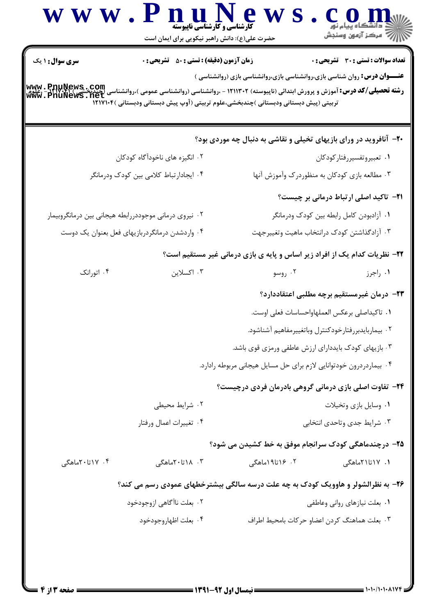| <b>سری سوال : ۱ یک</b>                                | <b>زمان آزمون (دقیقه) : تستی : 50 ٪ تشریحی : 0</b> |                                                                                                                                                                                                                                                                                                                          | <b>تعداد سوالات : تستی : 30 ٪ تشریحی : 0</b>  |
|-------------------------------------------------------|----------------------------------------------------|--------------------------------------------------------------------------------------------------------------------------------------------------------------------------------------------------------------------------------------------------------------------------------------------------------------------------|-----------------------------------------------|
|                                                       |                                                    | <b>عنـــوان درس:</b> روان شناسی بازی،روانشناسی بازی،روانشناسی بازی (روانشناسی )<br><b>ر شته تحصیلی/کد درس:</b> آموزش و پرورش ابتدائی (ناپیوسته) ۱۲۱۱۳۰۲ - ،روانشناسی (روانشناسی عمومی )،روانشناسی (چندبخش<br>Www . PnuNews . net<br>تربیتی (پیش دبستانی ودبستانی )چندبخشی،علوم تربیتی (آوپ پیش دبستانی ودبستانی )۱۲۱۷۱۰۴ |                                               |
|                                                       |                                                    | <b>۲۰</b> - آنافروید در ورای بازیهای تخیلی و نقاشی به دنبال چه موردی بود؟                                                                                                                                                                                                                                                |                                               |
|                                                       | ۲. انگیزه های ناخودآگاه کودکان                     | ٠١ تعبيروتفسيررفتاركودكان                                                                                                                                                                                                                                                                                                |                                               |
| ۰۴ ایجادارتباط کلامی بین کودک ودرمانگر                |                                                    | ۰۳ مطالعه بازی کودکان به منظوردرک وآموزش آنها                                                                                                                                                                                                                                                                            |                                               |
|                                                       |                                                    |                                                                                                                                                                                                                                                                                                                          | <b>۲۱</b> - تاکید اصلی ارتباط درمانی بر چیست؟ |
| ۰۲ نیروی درمانی موجوددررابطه هیجانی بین درمانگروبیمار |                                                    | ۰۱ آزادبودن کامل رابطه بین کودک ودرمانگر                                                                                                                                                                                                                                                                                 |                                               |
|                                                       | ۰۴ واردشدن درمانگردربازیهای فعل بعنوان یک دوست     | ۰۳ آزادگذاشتن کودک درانتخاب ماهیت وتغییرجهت                                                                                                                                                                                                                                                                              |                                               |
|                                                       |                                                    | ۲۲- نظریات کدام یک از افراد زیر اساس و پایه ی بازی درمانی غیر مستقیم است؟                                                                                                                                                                                                                                                |                                               |
| ۰۴ اتورانک                                            | ۰۳ اکسلاین                                         | ۰۲ روسو                                                                                                                                                                                                                                                                                                                  | ۰۱ راجرز                                      |
|                                                       |                                                    | <b>۲۳</b> – درمان غیرمستقیم برچه مطلبی اعتقاددارد؟                                                                                                                                                                                                                                                                       |                                               |
|                                                       |                                                    | ٠١ تاكيداصلي برعكس العملهاواحساسات فعلى اوست.                                                                                                                                                                                                                                                                            |                                               |
|                                                       |                                                    | ٢. بيماربايدبررفتارخودكنترل وباتغييرمفاهيم آشناشود.                                                                                                                                                                                                                                                                      |                                               |
|                                                       |                                                    | ۰۳ بازیهای کودک بایددارای ارزش عاطفی ورمزی قوی باشد.                                                                                                                                                                                                                                                                     |                                               |
|                                                       |                                                    | ۰۴ بیماردردرون خودتوانایی لازم برای حل مسایل هیجانی مربوطه رادارد.                                                                                                                                                                                                                                                       |                                               |
|                                                       |                                                    | <b>۲۴</b> - تفاوت اصلی بازی درمانی گروهی بادرمان فردی درچیست؟                                                                                                                                                                                                                                                            |                                               |
|                                                       | ۰۲ شرایط محیطی                                     |                                                                                                                                                                                                                                                                                                                          | ۰۱ وسایل بازی وتخیلات                         |
|                                                       | ۰۴ تغييرات اعمال ورفتار                            |                                                                                                                                                                                                                                                                                                                          | ۰۳ شرایط جدی وتاحدی انتخابی                   |
|                                                       |                                                    | ۲۵- درچندماهگی کودک سرانجام موفق به خط کشیدن می شود؟                                                                                                                                                                                                                                                                     |                                               |
| ۰۴ ۱۷تا۲۰ماهگی                                        | ۰۳ . ۱۸تا۲۰ماهگی                                   | ۲. ۱۶تا۱۹ماهگی                                                                                                                                                                                                                                                                                                           | ۱. ۱۷تا۲۱ماهگی                                |
|                                                       |                                                    | ۲۶- به نظرالشولر و هاوویک کودک به چه علت درسه سالگی بیشترخطهای عمودی رسم می کند؟                                                                                                                                                                                                                                         |                                               |
|                                                       | ۰۲ بعلت ناآگاهی ازوجودخود                          |                                                                                                                                                                                                                                                                                                                          | ۰۱ بعلت نیازهای روانی وعاطفی                  |
|                                                       | ۰۴ بعلت اظهاروجودخود                               | ٠٣ بعلت هماهنگ كردن اعضاو حركات بامحيط اطراف                                                                                                                                                                                                                                                                             |                                               |